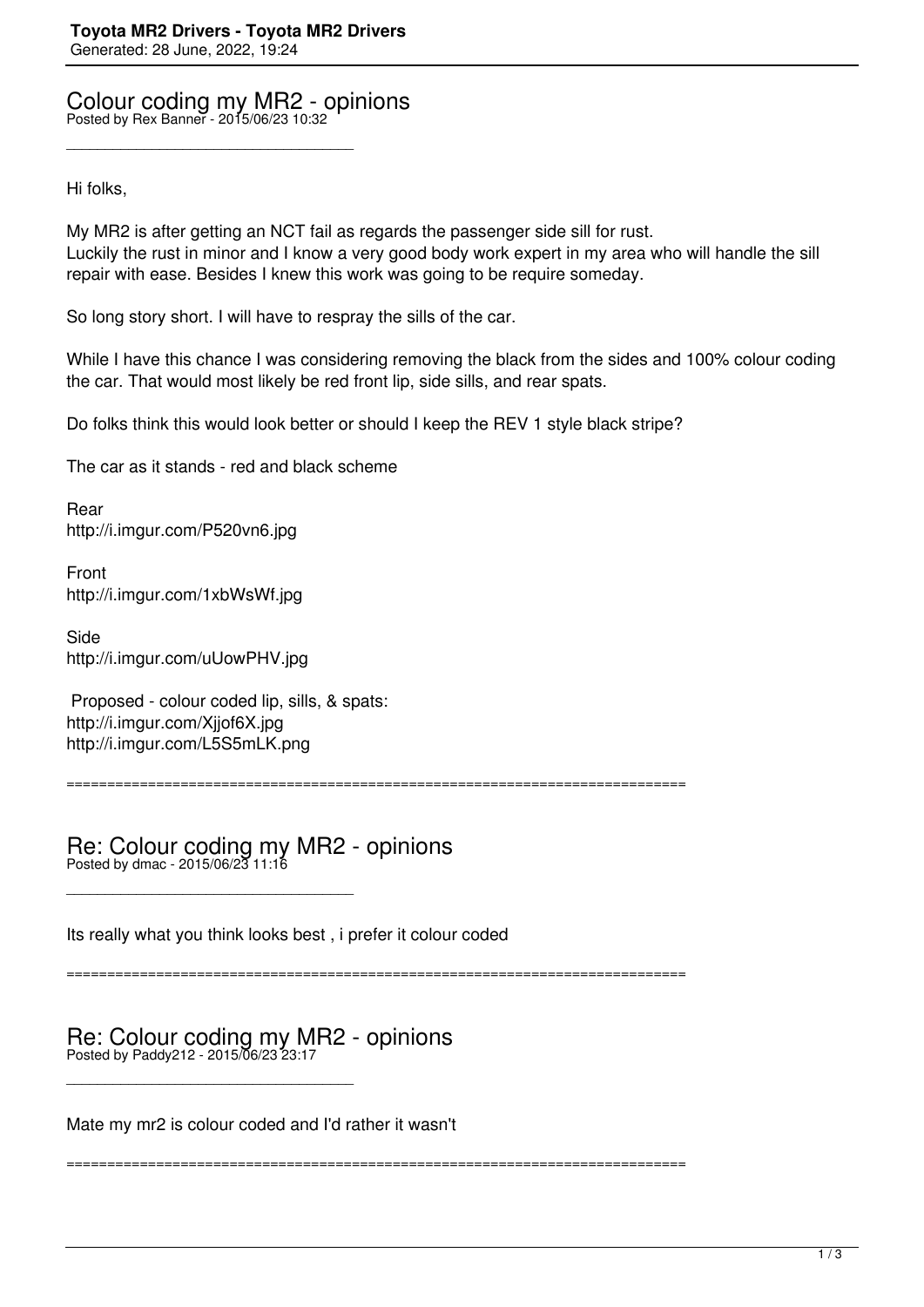Colour coding my MR2 - opinions Posted by Rex Banner - 2015/06/23 10:32

\_\_\_\_\_\_\_\_\_\_\_\_\_\_\_\_\_\_\_\_\_\_\_\_\_\_\_\_\_\_\_\_\_\_\_\_\_

Hi folks,

My MR2 is after getting an NCT fail as regards the passenger side sill for rust. Luckily the rust in minor and I know a very good body work expert in my area who will handle the sill repair with ease. Besides I knew this work was going to be require someday.

So long story short. I will have to respray the sills of the car.

While I have this chance I was considering removing the black from the sides and 100% colour coding the car. That would most likely be red front lip, side sills, and rear spats.

Do folks think this would look better or should I keep the REV 1 style black stripe?

The car as it stands - red and black scheme

Rear http://i.imgur.com/P520vn6.jpg

Front http://i.imgur.com/1xbWsWf.jpg

Side http://i.imgur.com/uUowPHV.jpg

 Proposed - colour coded lip, sills, & spats: http://i.imgur.com/Xjjof6X.jpg http://i.imgur.com/L5S5mLK.png

\_\_\_\_\_\_\_\_\_\_\_\_\_\_\_\_\_\_\_\_\_\_\_\_\_\_\_\_\_\_\_\_\_\_\_\_\_

\_\_\_\_\_\_\_\_\_\_\_\_\_\_\_\_\_\_\_\_\_\_\_\_\_\_\_\_\_\_\_\_\_\_\_\_\_

============================================================================

Re: Colour coding my MR2 - opinions Posted by dmac - 2015/06/23 11:16

Its really what you think looks best , i prefer it colour coded

============================================================================

============================================================================

## Re: Colour coding my MR2 - opinions Posted by Paddy212 - 2015/06/23 23:17

Mate my mr2 is colour coded and I'd rather it wasn't

 $\frac{1}{3}$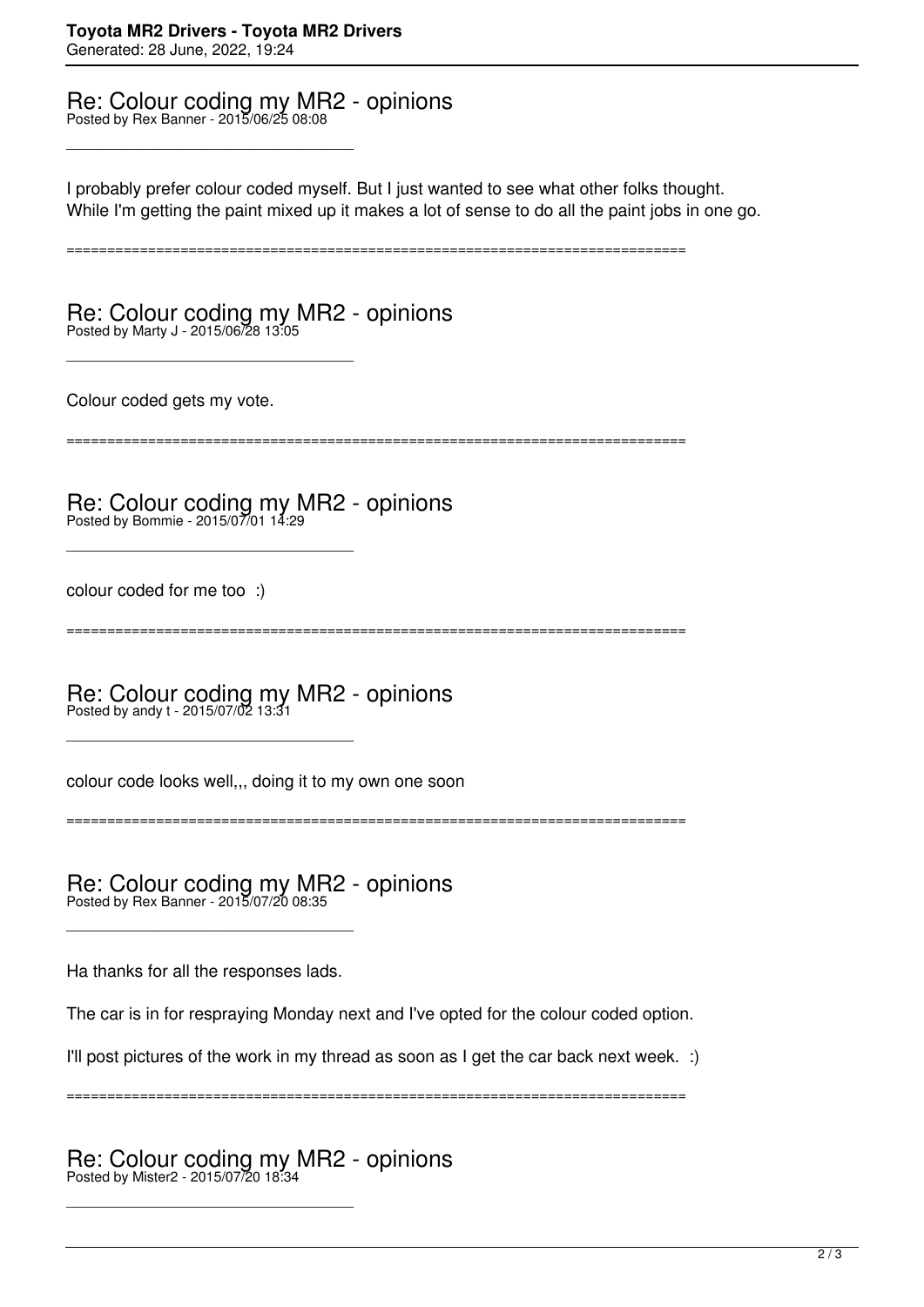## Re: Colour coding my MR2 - opinions Posted by Rex Banner - 2015/06/25 08:08

\_\_\_\_\_\_\_\_\_\_\_\_\_\_\_\_\_\_\_\_\_\_\_\_\_\_\_\_\_\_\_\_\_\_\_\_\_

I probably prefer colour coded myself. But I just wanted to see what other folks thought. While I'm getting the paint mixed up it makes a lot of sense to do all the paint jobs in one go.

============================================================================

Re: Colour coding my MR2 - opinions Posted by Marty J - 2015/06/28 13:05

Colour coded gets my vote.

\_\_\_\_\_\_\_\_\_\_\_\_\_\_\_\_\_\_\_\_\_\_\_\_\_\_\_\_\_\_\_\_\_\_\_\_\_

\_\_\_\_\_\_\_\_\_\_\_\_\_\_\_\_\_\_\_\_\_\_\_\_\_\_\_\_\_\_\_\_\_\_\_\_\_

\_\_\_\_\_\_\_\_\_\_\_\_\_\_\_\_\_\_\_\_\_\_\_\_\_\_\_\_\_\_\_\_\_\_\_\_\_

============================================================================

Re: Colour coding my MR2 - opinions Posted by Bommie - 2015/07/01 14:29

colour coded for me too :)

============================================================================

Re: Colour coding my MR2 - opinions Posted by andy t - 2015/07/02 13:31

colour code looks well,,, doing it to my own one soon

============================================================================

Re: Colour coding my MR2 - opinions Posted by Rex Banner - 2015/07/20 08:35

Ha thanks for all the responses lads.

\_\_\_\_\_\_\_\_\_\_\_\_\_\_\_\_\_\_\_\_\_\_\_\_\_\_\_\_\_\_\_\_\_\_\_\_\_

\_\_\_\_\_\_\_\_\_\_\_\_\_\_\_\_\_\_\_\_\_\_\_\_\_\_\_\_\_\_\_\_\_\_\_\_\_

The car is in for respraying Monday next and I've opted for the colour coded option.

I'll post pictures of the work in my thread as soon as I get the car back next week. :)

============================================================================

Re: Colour coding my MR2 - opinions Posted by Mister2 - 2015/07/20 18:34